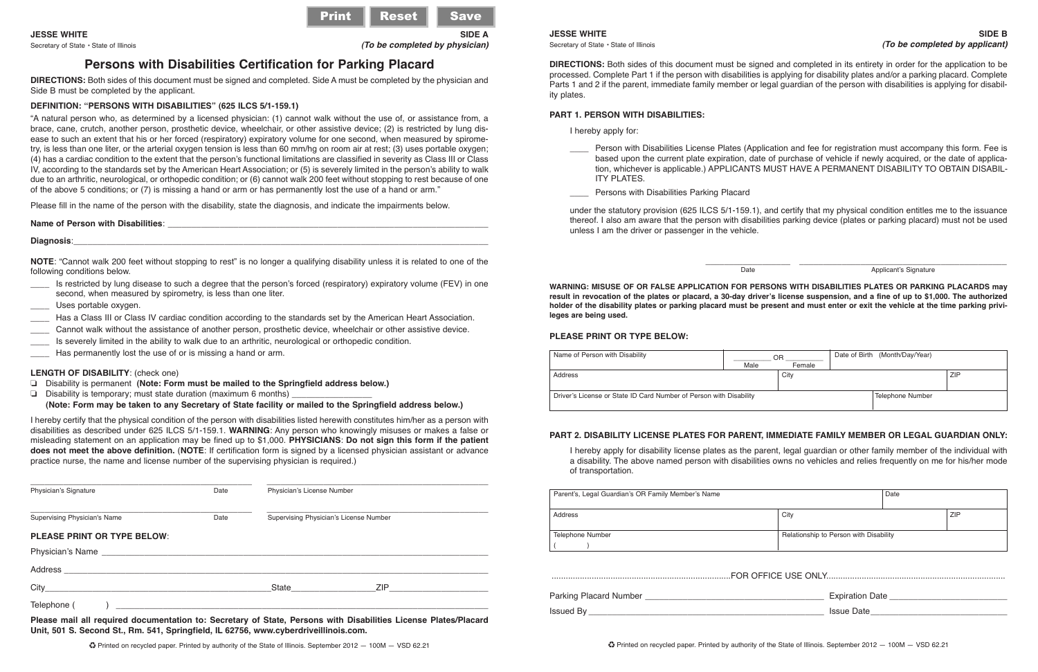Secretary of State • State of Illinois *(To be completed by physician)*

# **Persons with Disabilities Certification for Parking Placard**

**DIRECTIONS:** Both sides of this document must be signed and completed. Side A must be completed by the physician and Side B must be completed by the applicant.

# **DEFINITION: "PERSONS WITH DISABILITIES" (625 ILCS 5/1-159.1)**

"A natural person who, as determined by a licensed physician: (1) cannot walk without the use of, or assistance from, a brace, cane, crutch, another person, prosthetic device, wheelchair, or other assistive device; (2) is restricted by lung disease to such an extent that his or her forced (respiratory) expiratory volume for one second, when measured by spirometry, is less than one liter, or the arterial oxygen tension is less than 60 mm/hg on room air at rest; (3) uses portable oxygen; (4) has a cardiac condition to the extent that the person's functional limitations are classified in severity as Class III or Class IV, according to the standards set by the American Heart Association; or (5) is severely limited in the person's ability to walk due to an arthritic, neurological, or orthopedic condition; or (6) cannot walk 200 feet without stopping to rest because of one of the above 5 conditions; or (7) is missing a hand or arm or has permanently lost the use of a hand or arm."

Please fill in the name of the person with the disability, state the diagnosis, and indicate the impairments below.

## **Name of Person with Disabilities**:

#### **Diagnosis**:\_\_\_\_\_\_\_\_\_\_\_\_\_\_\_\_\_\_\_\_\_\_\_\_\_\_\_\_\_\_\_\_\_\_\_\_\_\_\_\_\_\_\_\_\_\_\_\_\_\_\_\_\_\_\_\_\_\_\_\_\_\_\_\_\_\_\_\_\_\_\_\_\_\_\_\_\_\_\_\_\_\_\_\_\_\_\_\_

**NOTE**: "Cannot walk 200 feet without stopping to rest" is no longer a qualifying disability unless it is related to one of the following conditions below.

- \_\_\_\_ Is restricted by lung disease to such a degree that the person's forced (respiratory) expiratory volume (FEV) in one second, when measured by spirometry, is less than one liter.
- Uses portable oxygen.
- \_\_\_\_ Has a Class III or Class IV cardiac condition according to the standards set by the American Heart Association.
- \_\_\_\_ Cannot walk without the assistance of another person, prosthetic device, wheelchair or other assistive device.
- Is severely limited in the ability to walk due to an arthritic, neurological or orthopedic condition.
- Has permanently lost the use of or is missing a hand or arm.

## **LENGTH OF DISABILITY**: (check one)

- ❏ Disability is permanent **(Note: Form must be mailed to the Springfield address below.)**
- $\Box$  Disability is temporary; must state duration (maximum 6 months)

## **(Note: Form may be taken to any Secretary of State facility or mailed to the Springfield address below.)**

I hereby certify that the physical condition of the person with disabilities listed herewith constitutes him/her as a person with disabilities as described under 625 ILCS 5/1-159.1. **WARNING**: Any person who knowingly misuses or makes a false or misleading statement on an application may be fined up to \$1,000. **PHYSICIANS**: **Do not sign this form if the patient does not meet the above definition.** (**NOTE**: If certification form is signed by a licensed physician assistant or advance practice nurse, the name and license number of the supervising physician is required.)

| Physician's Signature<br>Date |      | Physician's License Number                                                                                                                                                                                                                           |  |
|-------------------------------|------|------------------------------------------------------------------------------------------------------------------------------------------------------------------------------------------------------------------------------------------------------|--|
| Supervising Physician's Name  | Date | Supervising Physician's License Number                                                                                                                                                                                                               |  |
| PLEASE PRINT OR TYPE BELOW:   |      |                                                                                                                                                                                                                                                      |  |
|                               |      |                                                                                                                                                                                                                                                      |  |
|                               |      |                                                                                                                                                                                                                                                      |  |
|                               |      | ZIP And the contract of the contract of the contract of the contract of the contract of the contract of the contract of the contract of the contract of the contract of the contract of the contract of the contract of the co<br><b>State State</b> |  |
| Telephone (                   |      |                                                                                                                                                                                                                                                      |  |

**Please mail all required documentation to: Secretary of State, Persons with Disabilities License Plates/Placard Unit, 501 S. Second St., Rm. 541, Springfield, IL 62756, www.cyberdriveillinois .com.**